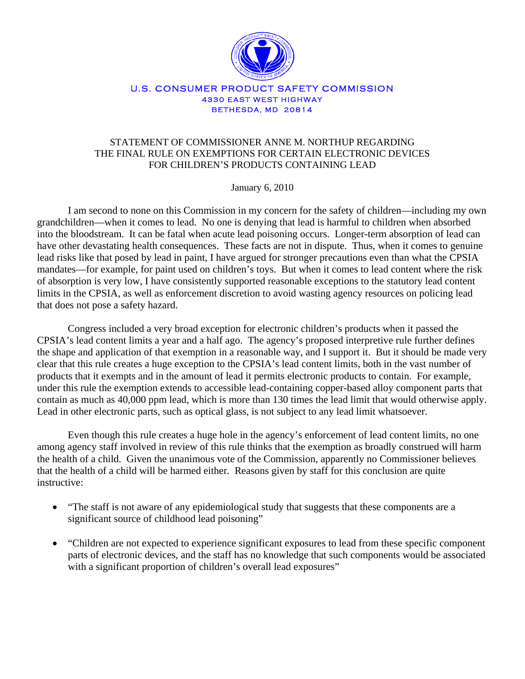

## U.S. CONSUMER PRODUCT SAFETY COMMISSION 4330 EAST WEST HIGHWAY BETHESDA, MD 20814

## STATEMENT OF COMMISSIONER ANNE M. NORTHUP REGARDING THE FINAL RULE ON EXEMPTIONS FOR CERTAIN ELECTRONIC DEVICES FOR CHILDREN'S PRODUCTS CONTAINING LEAD

January 6, 2010

I am second to none on this Commission in my concern for the safety of children—including my own grandchildren—when it comes to lead. No one is denying that lead is harmful to children when absorbed into the bloodstream. It can be fatal when acute lead poisoning occurs. Longer-term absorption of lead can have other devastating health consequences. These facts are not in dispute. Thus, when it comes to genuine lead risks like that posed by lead in paint, I have argued for stronger precautions even than what the CPSIA mandates—for example, for paint used on children's toys. But when it comes to lead content where the risk of absorption is very low, I have consistently supported reasonable exceptions to the statutory lead content limits in the CPSIA, as well as enforcement discretion to avoid wasting agency resources on policing lead that does not pose a safety hazard.

Congress included a very broad exception for electronic children's products when it passed the CPSIA's lead content limits a year and a half ago. The agency's proposed interpretive rule further defines the shape and application of that exemption in a reasonable way, and I support it. But it should be made very clear that this rule creates a huge exception to the CPSIA's lead content limits, both in the vast number of products that it exempts and in the amount of lead it permits electronic products to contain. For example, under this rule the exemption extends to accessible lead-containing copper-based alloy component parts that contain as much as 40,000 ppm lead, which is more than 130 times the lead limit that would otherwise apply. Lead in other electronic parts, such as optical glass, is not subject to any lead limit whatsoever.

Even though this rule creates a huge hole in the agency's enforcement of lead content limits, no one among agency staff involved in review of this rule thinks that the exemption as broadly construed will harm the health of a child. Given the unanimous vote of the Commission, apparently no Commissioner believes that the health of a child will be harmed either. Reasons given by staff for this conclusion are quite instructive:

- "The staff is not aware of any epidemiological study that suggests that these components are a significant source of childhood lead poisoning"
- "Children are not expected to experience significant exposures to lead from these specific component parts of electronic devices, and the staff has no knowledge that such components would be associated with a significant proportion of children's overall lead exposures"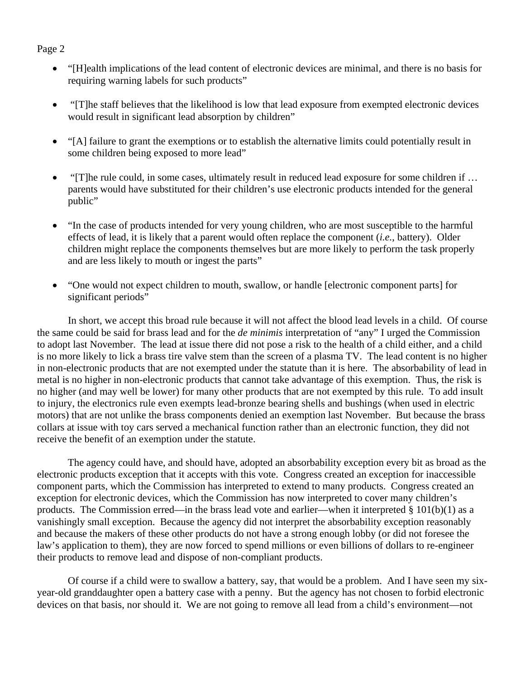## Page 2

- "[H]ealth implications of the lead content of electronic devices are minimal, and there is no basis for requiring warning labels for such products"
- "[T]he staff believes that the likelihood is low that lead exposure from exempted electronic devices would result in significant lead absorption by children"
- "[A] failure to grant the exemptions or to establish the alternative limits could potentially result in some children being exposed to more lead"
- "[T]he rule could, in some cases, ultimately result in reduced lead exposure for some children if ... parents would have substituted for their children's use electronic products intended for the general public"
- "In the case of products intended for very young children, who are most susceptible to the harmful effects of lead, it is likely that a parent would often replace the component (*i.e.*, battery). Older children might replace the components themselves but are more likely to perform the task properly and are less likely to mouth or ingest the parts"
- "One would not expect children to mouth, swallow, or handle [electronic component parts] for significant periods"

In short, we accept this broad rule because it will not affect the blood lead levels in a child. Of course the same could be said for brass lead and for the *de minimis* interpretation of "any" I urged the Commission to adopt last November. The lead at issue there did not pose a risk to the health of a child either, and a child is no more likely to lick a brass tire valve stem than the screen of a plasma TV. The lead content is no higher in non-electronic products that are not exempted under the statute than it is here. The absorbability of lead in metal is no higher in non-electronic products that cannot take advantage of this exemption. Thus, the risk is no higher (and may well be lower) for many other products that are not exempted by this rule. To add insult to injury, the electronics rule even exempts lead-bronze bearing shells and bushings (when used in electric motors) that are not unlike the brass components denied an exemption last November. But because the brass collars at issue with toy cars served a mechanical function rather than an electronic function, they did not receive the benefit of an exemption under the statute.

The agency could have, and should have, adopted an absorbability exception every bit as broad as the electronic products exception that it accepts with this vote. Congress created an exception for inaccessible component parts, which the Commission has interpreted to extend to many products. Congress created an exception for electronic devices, which the Commission has now interpreted to cover many children's products. The Commission erred—in the brass lead vote and earlier—when it interpreted § 101(b)(1) as a vanishingly small exception. Because the agency did not interpret the absorbability exception reasonably and because the makers of these other products do not have a strong enough lobby (or did not foresee the law's application to them), they are now forced to spend millions or even billions of dollars to re-engineer their products to remove lead and dispose of non-compliant products.

Of course if a child were to swallow a battery, say, that would be a problem. And I have seen my sixyear-old granddaughter open a battery case with a penny. But the agency has not chosen to forbid electronic devices on that basis, nor should it. We are not going to remove all lead from a child's environment—not